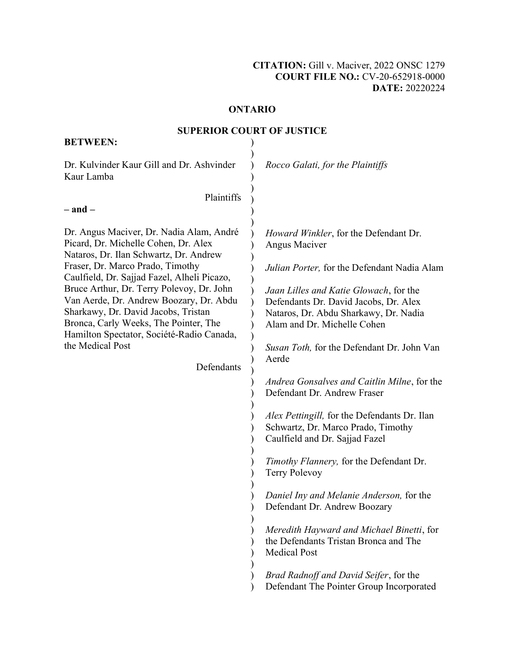#### **ONTARIO**  ONTARIO

#### **SUPERIOR COURT OF JUSTICE**  SUPERIOR COURT OF JUSTICE

| Dr. Kulvinder Kaur Gill and Dr. Ashvinder<br>Rocco Galati, for the Plaintiffs<br>Kaur Lamba<br>Plaintiffs                                                                                                                                                                                                                                                                                                                                                                                                                                                                                                                                                                                                                                                                                                                                                                                                                                                                                                                                                                  |                                                                                                                                                                                                                                                                                   |
|----------------------------------------------------------------------------------------------------------------------------------------------------------------------------------------------------------------------------------------------------------------------------------------------------------------------------------------------------------------------------------------------------------------------------------------------------------------------------------------------------------------------------------------------------------------------------------------------------------------------------------------------------------------------------------------------------------------------------------------------------------------------------------------------------------------------------------------------------------------------------------------------------------------------------------------------------------------------------------------------------------------------------------------------------------------------------|-----------------------------------------------------------------------------------------------------------------------------------------------------------------------------------------------------------------------------------------------------------------------------------|
|                                                                                                                                                                                                                                                                                                                                                                                                                                                                                                                                                                                                                                                                                                                                                                                                                                                                                                                                                                                                                                                                            |                                                                                                                                                                                                                                                                                   |
| $-$ and $-$                                                                                                                                                                                                                                                                                                                                                                                                                                                                                                                                                                                                                                                                                                                                                                                                                                                                                                                                                                                                                                                                |                                                                                                                                                                                                                                                                                   |
| Dr. Angus Maciver, Dr. Nadia Alam, André<br><i>Howard Winkler</i> , for the Defendant Dr.<br>Picard, Dr. Michelle Cohen, Dr. Alex<br>Angus Maciver<br>Nataros, Dr. Ilan Schwartz, Dr. Andrew<br>Fraser, Dr. Marco Prado, Timothy<br>Caulfield, Dr. Sajjad Fazel, Alheli Picazo,<br>Bruce Arthur, Dr. Terry Polevoy, Dr. John<br>Jaan Lilles and Katie Glowach, for the<br>Van Aerde, Dr. Andrew Boozary, Dr. Abdu<br>Defendants Dr. David Jacobs, Dr. Alex<br>Sharkawy, Dr. David Jacobs, Tristan<br>Nataros, Dr. Abdu Sharkawy, Dr. Nadia<br>Bronca, Carly Weeks, The Pointer, The<br>Alam and Dr. Michelle Cohen<br>Hamilton Spectator, Société-Radio Canada,<br>the Medical Post<br>Aerde<br>Defendants<br>Defendant Dr. Andrew Fraser<br>Schwartz, Dr. Marco Prado, Timothy<br>Caulfield and Dr. Sajjad Fazel<br>Timothy Flannery, for the Defendant Dr.<br><b>Terry Polevoy</b><br>Daniel Iny and Melanie Anderson, for the<br>Defendant Dr. Andrew Boozary<br>the Defendants Tristan Bronca and The<br><b>Medical Post</b><br>Brad Radnoff and David Seifer, for the | Julian Porter, for the Defendant Nadia Alam<br>Susan Toth, for the Defendant Dr. John Van<br>Andrea Gonsalves and Caitlin Milne, for the<br>Alex Pettingill, for the Defendants Dr. Ilan<br>Meredith Hayward and Michael Binetti, for<br>Defendant The Pointer Group Incorporated |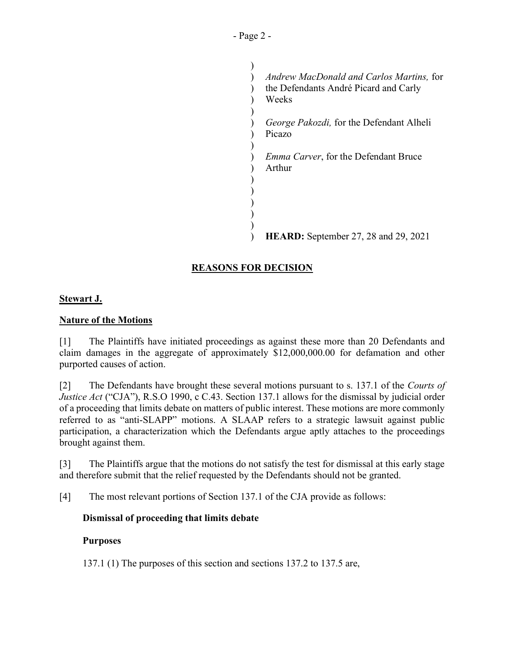*Andrew MacDonald and Carlos Martins, for* the Defendants André Picard and Carly the Defendants André Picard and Carly Weeks Weeks *George Pakozdi,* for the Defendant Alheli George Pakozdi, for the Defendant Alheli Picazo Picazo *Emma Carver,* for the Defendant Bruce Emma Carver, for the Defendant Bruce Arthur Arthur **HEARD:** September 27, 28 and 29, 2021 ) HEARD: September 27, 28 and 29, 2021 $\mathcal{L}$  $\mathcal{L}$  $\mathcal{L}$  $\lambda$ ) ) )  $\mathcal{L}$  $\lambda$ ) ) ) ) )

# **REASONS FOR DECISION**  REASONS FOR DECISION

# **Stewart J.**  Stewart J.

# **Nature of the Motions**  Nature of the Motions

[1] The Plaintiffs have initiated proceedings as against these more than 20 Defendants and [1] The Plaintiffs have initiated proceedings as against these more than 20 Defendants and claim damages in the aggregate of approximately \$12,000,000.00 for defamation and other claim damages in the aggregate of approximately \$12,000,000.00 for defamation and other purported causes of action. purported causes of action.

[2] The Defendants have brought these several motions pursuant to s. 137.1 of the *Courts of*  [2] The Defendants have brought these several motions pursuant to s. 137.1 of the Courts of *Justice Act* ("CJA"), R.S.0 1990, c C.43. Section 137.1 allows for the dismissal by judicial order Justice Act ("CJA"), R.S.O 1990, c C.43. Section 137.1 allows for the dismissal by judicial order of a proceeding that limits debate on matters of public interest. These motions are more commonly referred to as "anti-SLAPP" motions. A SLAAP refers to a strategic lawsuit against public participation, a characterization which the Defendants argue aptly attaches to the proceedings brought against them. of a proceeding that limits debate on matters of public interest. These motions are more commonly<br>referred to as "anti-SLAPP" motions. A SLAAP refers to a strategic lawsuit against public<br>participation, a characterization

[3] The Plaintiffs argue that the motions do not satisfy the test for dismissal at this early stage [3] The Plaintiffs argue that the motions do not satisfy the test for dismissal at this early stage and therefore submit that the relief requested by the Defendants should not be granted. and therefore submit that the relief requested by the Defendants should not be granted.

[4] The most relevant portions of Section 137.1 of the CJA provide as follows: [4] The most relevant portions of Section 137.1 of the CJA provide as follows:

### **Dismissal of proceeding that limits debate**  Dismissal of proceeding that limits debate

### **Purposes**  Purposes

137.1 (1) The purposes of this section and sections 137.2 to 137.5 are, 137.1 (1) The purposes of this section and sections 137.2 to 137.5 are,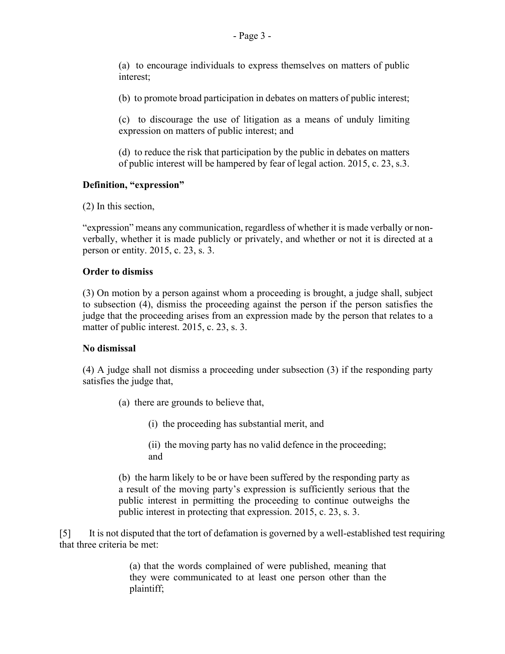(a) to encourage individuals to express themselves on matters of public (a) to encourage individuals to express themselves on matters of public interest; interest;

(b) to promote broad participation in debates on matters of public interest; (b) to promote broad participation in debates on matters of public interest;

(c) to discourage the use of litigation as a means of unduly limiting (c) to discourage the use of litigation as a means of unduly limiting expression on matters of public interest; and expression on matters of public interest; and

(d) to reduce the risk that participation by the public in debates on matters (d) to reduce the risk that participation by the public in debates on matters of public interest will be hampered by fear of legal action. 2015, c. 23, s.3. of public interest will be hampered by fear of legal action. 2015, c. 23, s.3.

# **Definition, "expression"**  Definition, "expression"

(2) In this section, (2) In this section,

"expression" means any communication, regardless of whether it is made verbally or non-"expression" means any communication, regardless of whether it is made verbally or nonverbally, whether it is made publicly or privately, and whether or not it is directed at a verbally, whether it is made publicly or privately, and whether or not it is directed at a person or entity. 2015, c. 23, s. 3. person or entity. 2015, c. 23, s. 3.

# **Order to dismiss**  Order to dismiss

(3) On motion by a person against whom a proceeding is brought, a judge shall, subject (3) On motion by a person against whom a proceeding is brought, a judge shall, subject to subsection (4), dismiss the proceeding against the person if the person satisfies the to subsection (4), dismiss the proceeding against the person if the person satisfies the judge that the proceeding arises from an expression made by the person that relates to a judge that the proceeding arises from an expression made by the person that relates to a matter of public interest. 2015, c. 23, s. 3. matter of public interest. 2015, c. 23, s. 3.

# **No dismissal**  No dismissal

(4) A judge shall not dismiss a proceeding under subsection (3) if the responding party (4) A judge shall not dismiss a proceeding under subsection (3) if the responding party satisfies the judge that, satisfies the judge that,

- (a) there are grounds to believe that, (a) there are grounds to believe that,
	- (i) the proceeding has substantial merit, and (i) the proceeding has substantial merit, and

(ii) the moving party has no valid defence in the proceeding; and (b) the harm likely to be or have been suffered by the responding party as (ii) the moving party has no valid defence in the proceeding; and (b) the harm likely to be or have been suffered by the responding party as

a result of the moving party's expression is sufficiently serious that the a result of the moving party's expression is sufficiently serious that the public interest in permitting the proceeding to continue outweighs the public interest in permitting the proceeding to continue outweighs the public interest in protecting that expression. 2015, c. 23, s. 3. public interest in protecting that expression. 2015, c. 23, s. 3.

[5] It is not disputed that the tort of defamation is governed by a well-established test requiring that three criteria be met: that three criteria be met:

> (a) that the words complained of were published, meaning that (a) that the words complained of were published, meaning that they were communicated to at least one person other than the plaintiff; plaintiff;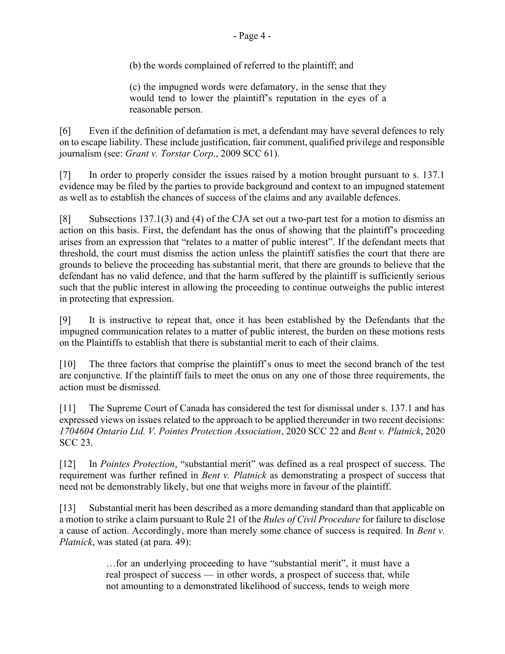(b) the words complained of referred to the plaintiff; and (b) the words complained of referred to the plaintiff; and

(c) the impugned words were defamatory, in the sense that they would tend to lower the plaintiffs reputation in the eyes of a (c) the impugned words were defamatory, in the sense that they would tend to lower the plaintiff's reputation in the eyes of a reasonable person. reasonable person.

[6] Even if the definition of defamation is met, a defendant may have several defences to rely [6] Even if the definition of defamation is met, a defendant may have several defences to rely<br>on to escape liability. These include justification, fair comment, qualified privilege and responsible journalism (see: *Grant v. Torstar Corp.,* 2009 SCC 61). journalism (see: Grant v. Torstar Corp., 2009 SCC 61).

[7] In order to properly consider the issues raised by a motion brought pursuant to s. 137.1 [7] In order to properly consider the issues raised by a motion brought pursuant to s. 137.1 evidence may be filed by the parties to provide background and context to an impugned statement evidence may be filed by the parties to provide background and context to an impugned statement as well as to establish the chances of success of the claims and any available defences. as well as to establish the chances of success of the claims and any available defences.

[8] Subsections 137.1(3) and (4) of the CJA set out a two-part test for a motion to dismiss an [8] Subsections 137.1(3) and (4) of the CJA set out a two-part test for a motion to dismiss an action on this basis. First, the defendant has the onus of showing that the plaintiff's proceeding action on this basis. First, the defendant has the onus of showing that the plaintiff's proceeding<br>arises from an expression that "relates to a matter of public interest". If the defendant meets that threshold, the court must dismiss the action unless the plaintiff satisfies the court that there are threshold, the court must dismiss the action unless the plaintiff satisfies the court that there are<br>grounds to believe the proceeding has substantial merit, that there are grounds to believe that the defendant has no valid defence, and that the harm suffered by the plaintiff is sufficiently serious defendant has no valid defence, and that the harm suffered by the plaintiff is sufficiently serious<br>such that the public interest in allowing the proceeding to continue outweighs the public interest in protecting that expression. in protecting that expression.

[9] It is instructive to repeat that, once it has been established by the Defendants that the [9] It is instructive to repeat that, once it has been established by the Defendants that the impugned communication relates to a matter of public interest, the burden on these motions rests on the Plaintiffs to establish that there is substantial merit to each of their claims. on the Plaintiffs to establish that there is substantial merit to each of their claims.

[10] The three factors that comprise the plaintiff's onus to meet the second branch of the test [10] The three factors that comprise the plaintiff`s onus to meet the second branch of the test are conjunctive. If the plaintiff fails to meet the onus on any one of those three requirements, the action must be dismissed. action must be dismissed.

[11] The Supreme Court of Canada has considered the test for dismissal under s. 137.1 and has [11] The Supreme Court of Canada has considered the test for dismissal under s. 137.1 and has expressed views on issues related to the approach to be applied thereunder in two recent decisions: expressed views on issues related to the approach to be applied thereunder in two recent decisions: *1704604 Ontario Ltd. V. Pointes Protection Association,* 2020 SCC 22 and *Bent v. Platnick,* 2020 1704604 Ontario Ltd. V. Pointes Protection Association, 2020 SCC 22 and Bent v. Platnick, 2020 SCC 23. SCC 23.

[12] In *Pointes Protection,* "substantial merit" was defined as a real prospect of success. The [12] In Pointes Protection, "substantial merit" was defined as a real prospect of success. The requirement was further refined in *Bent v. Platnick* as demonstrating a prospect of success that need not be demonstrably likely, but one that weighs more in favour of the plaintiff. need not be demonstrably likely, but one that weighs more in favour of the plaintiff.

[13] Substantial merit has been described as a more demanding standard than that applicable on [13] Substantial merit has been described as a more demanding standard than that applicable on<br>a motion to strike a claim pursuant to Rule 21 of the *Rules of Civil Procedure* for failure to disclose a cause of action. Accordingly, more than merely some chance of success is required. In *Bent v.*  a cause of action. Accordingly, more than merely some chance of success is required. In Bent v. *Platnick,* was stated (at para. 49): Platnick, was stated (at para. 49):

> ...for an underlying proceeding to have "substantial merit", it must have a …for an underlying proceeding to have "substantial merit", it must have a real prospect of success — in other words, a prospect of success that, while not amounting to a demonstrated likelihood of success, tends to weigh more not amounting to a demonstrated likelihood of success, tends to weigh more